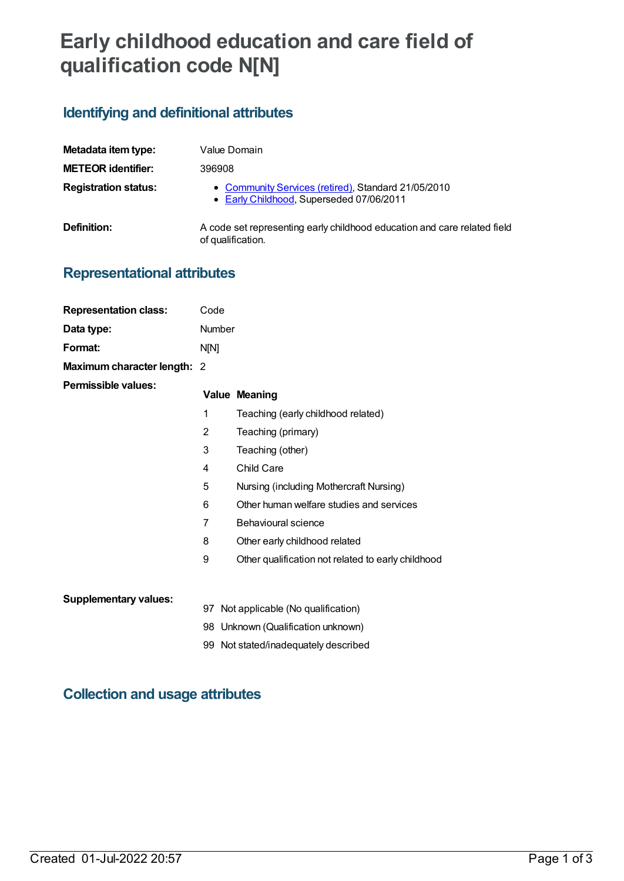# **Early childhood education and care field of qualification code N[N]**

### **Identifying and definitional attributes**

| Metadata item type:         | Value Domain                                                                                    |
|-----------------------------|-------------------------------------------------------------------------------------------------|
| <b>METEOR identifier:</b>   | 396908                                                                                          |
| <b>Registration status:</b> | • Community Services (retired), Standard 21/05/2010<br>• Early Childhood, Superseded 07/06/2011 |
| Definition:                 | A code set representing early childhood education and care related field<br>of qualification.   |

## **Representational attributes**

| <b>Representation class:</b> | Code   |                                                    |
|------------------------------|--------|----------------------------------------------------|
| Data type:                   | Number |                                                    |
| Format:                      | N[N]   |                                                    |
| Maximum character length: 2  |        |                                                    |
| Permissible values:          |        | <b>Value Meaning</b>                               |
|                              | 1      | Teaching (early childhood related)                 |
|                              | 2      | Teaching (primary)                                 |
|                              | 3      | Teaching (other)                                   |
|                              | 4      | Child Care                                         |
|                              | 5      | Nursing (including Mothercraft Nursing)            |
|                              | 6      | Other human welfare studies and services           |
|                              | 7      | Behavioural science                                |
|                              | 8      | Other early childhood related                      |
|                              | 9      | Other qualification not related to early childhood |
|                              |        |                                                    |
| <b>Supplementary values:</b> |        | 97 Not applicable (No qualification)               |
|                              |        | 98 Unknown (Qualification unknown)                 |

99 Not stated/inadequately described

### **Collection and usage attributes**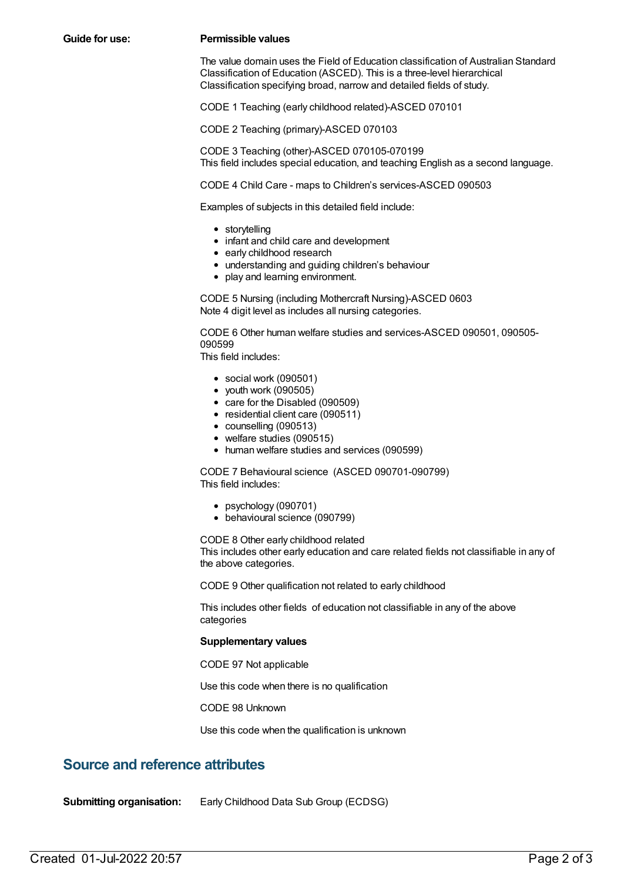#### **Guide for use: Permissible values**

The value domain uses the Field of Education classification of Australian Standard Classification of Education (ASCED). This is a three-level hierarchical Classification specifying broad, narrow and detailed fields of study.

CODE 1 Teaching (early childhood related)-ASCED 070101

CODE 2 Teaching (primary)-ASCED 070103

CODE 3 Teaching (other)-ASCED 070105-070199 This field includes special education, and teaching English as a second language.

CODE 4 Child Care - maps to Children's services-ASCED 090503

Examples of subjects in this detailed field include:

- storytelling
- infant and child care and development
- early childhood research
- understanding and guiding children's behaviour
- play and learning environment.

CODE 5 Nursing (including Mothercraft Nursing)-ASCED 0603 Note 4 digit level as includes all nursing categories.

CODE 6 Other human welfare studies and services-ASCED 090501, 090505- 090599

This field includes:

- social work (090501)
- $\bullet$  vouth work (090505)
- care for the Disabled (090509)
- residential client care (090511)
- counselling (090513)
- welfare studies (090515)
- human welfare studies and services (090599)

CODE 7 Behavioural science (ASCED 090701-090799) This field includes:

- psychology (090701)
- behavioural science (090799)

CODE 8 Other early childhood related

This includes other early education and care related fields not classifiable in any of the above categories.

CODE 9 Other qualification not related to early childhood

This includes other fields of education not classifiable in any of the above categories

#### **Supplementary values**

CODE 97 Not applicable

Use this code when there is no qualification

CODE 98 Unknown

Use this code when the qualification is unknown

### **Source and reference attributes**

**Submitting organisation:** Early Childhood Data Sub Group (ECDSG)